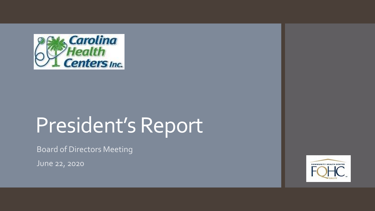

# President's Report

Board of Directors Meeting

June 22, 2020

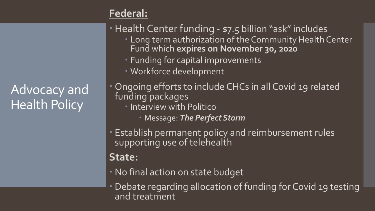#### **Federal:**

Advocacy and Health Policy

Health Center funding - \$7.5 billion "ask" includes

- Long term authorization of the Community Health Center Fund which **expires on November 30, 2020**
- Funding for capital improvements

Workforce development

 Ongoing efforts to include CHCs in all Covid 19 related funding packages **• Interview with Politico** Message: *The Perfect Storm*

 Establish permanent policy and reimbursement rules supporting use of telehealth

### **State:**

- No final action on state budget
- Debate regarding allocation of funding for Covid 19 testing and treatment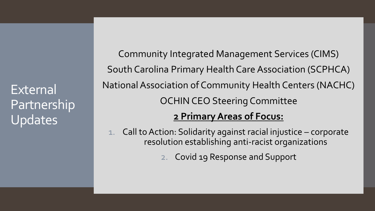External Partnership Updates

Community Integrated Management Services (CIMS) South Carolina Primary Health Care Association (SCPHCA) National Association of Community Health Centers (NACHC) OCHIN CEO Steering Committee

#### **2 Primary Areas of Focus:**

1. Call to Action: Solidarity against racial injustice – corporate resolution establishing anti-racist organizations

2. Covid 19 Response and Support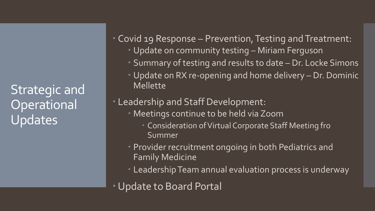Strategic and **Operational** Updates

Covid 19 Response – Prevention, Testing and Treatment:

- Update on community testing Miriam Ferguson
- Summary of testing and results to date Dr. Locke Simons
- Update on RX re-opening and home delivery Dr. Dominic Mellette
- Leadership and Staff Development:
	- Meetings continue to be held via Zoom
		- Consideration of Virtual Corporate Staff Meeting fro Summer
	- Provider recruitment ongoing in both Pediatrics and Family Medicine
	- Leadership Team annual evaluation process is underway
- Update to Board Portal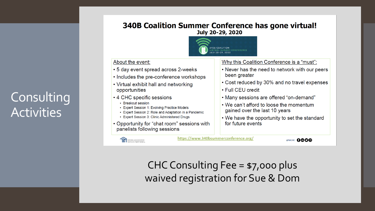## Consulting **Activities**

**340B Coalition Summer Conference has gone virtual!** July 20-29, 2020



#### About the event:

- 5 day event spread across 2-weeks
- Includes the pre-conference workshops
- Virtual exhibit hall and networking opportunities
- 4 CHC specific sessions
	- Breakout session
	- Expert Session 1: Evolving Practice Models
	- Expert Session 2: Role and Adaptation in a Pandemic
	- Expert Session 3: Clinic Administered Drugs
- Opportunity for "chat room" sessions with panelists following sessions



https://www.340bsummerconference.org/

@NACHC 0**000** 

 $CHC$  Consulting Fee = \$7,000 plus waived registration for Sue & Dom

#### Why this Coalition Conference is a "must":

- Never has the need to network with our peers been greater
- Cost reduced by 30% and no travel expenses
- Full CEU credit
- Many sessions are offered "on-demand"
- We can't afford to loose the momentum gained over the last 10 years
- We have the opportunity to set the standard for future events